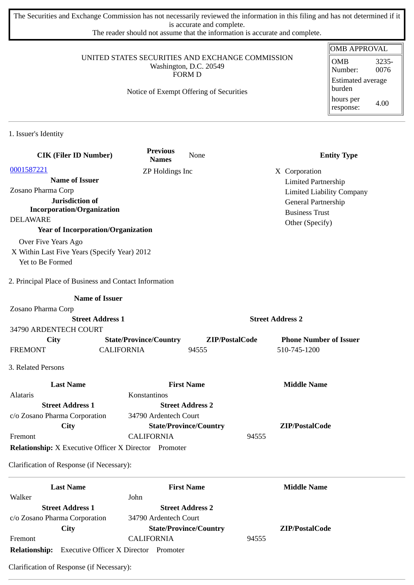The Securities and Exchange Commission has not necessarily reviewed the information in this filing and has not determined if it is accurate and complete.

The reader should not assume that the information is accurate and complete.

#### UNITED STATES SECURITIES AND EXCHANGE COMMISSION Washington, D.C. 20549 FORM D

## Notice of Exempt Offering of Securities

| OMB APPROVAL                       |               |  |
|------------------------------------|---------------|--|
| <b>OMB</b><br>Number:              | 3235-<br>0076 |  |
| <b>Estimated average</b><br>burden |               |  |
| hours per<br>response:             | 4.00          |  |

1. Issuer's Identity

| <b>CIK (Filer ID Number)</b>                                        | <b>Previous</b><br><b>Names</b> | None                          | <b>Entity Type</b>               |
|---------------------------------------------------------------------|---------------------------------|-------------------------------|----------------------------------|
| 0001587221                                                          | ZP Holdings Inc                 |                               | X Corporation                    |
| <b>Name of Issuer</b>                                               |                                 |                               | <b>Limited Partnership</b>       |
| Zosano Pharma Corp                                                  |                                 |                               | <b>Limited Liability Company</b> |
| Jurisdiction of                                                     |                                 |                               | General Partnership              |
| <b>Incorporation/Organization</b><br><b>DELAWARE</b>                |                                 |                               | <b>Business Trust</b>            |
| <b>Year of Incorporation/Organization</b>                           |                                 |                               | Other (Specify)                  |
|                                                                     |                                 |                               |                                  |
| Over Five Years Ago<br>X Within Last Five Years (Specify Year) 2012 |                                 |                               |                                  |
| Yet to Be Formed                                                    |                                 |                               |                                  |
| 2. Principal Place of Business and Contact Information              |                                 |                               |                                  |
|                                                                     | <b>Name of Issuer</b>           |                               |                                  |
| Zosano Pharma Corp                                                  |                                 |                               |                                  |
|                                                                     | <b>Street Address 1</b>         |                               | <b>Street Address 2</b>          |
| 34790 ARDENTECH COURT                                               |                                 |                               |                                  |
| <b>City</b>                                                         | <b>State/Province/Country</b>   | ZIP/PostalCode                | <b>Phone Number of Issuer</b>    |
| <b>FREMONT</b>                                                      | <b>CALIFORNIA</b>               | 94555                         | 510-745-1200                     |
| 3. Related Persons                                                  |                                 |                               |                                  |
| <b>Last Name</b>                                                    |                                 | <b>First Name</b>             | <b>Middle Name</b>               |
| Alataris                                                            | Konstantinos                    |                               |                                  |
| <b>Street Address 1</b>                                             |                                 | <b>Street Address 2</b>       |                                  |
| c/o Zosano Pharma Corporation                                       | 34790 Ardentech Court           |                               |                                  |
| City                                                                |                                 | <b>State/Province/Country</b> | ZIP/PostalCode                   |
| Fremont                                                             | <b>CALIFORNIA</b>               | 94555                         |                                  |
| <b>Relationship:</b> X Executive Officer X Director Promoter        |                                 |                               |                                  |
| Clarification of Response (if Necessary):                           |                                 |                               |                                  |
| <b>Last Name</b>                                                    |                                 | <b>First Name</b>             | <b>Middle Name</b>               |
| Walker                                                              | John                            |                               |                                  |
| <b>Street Address 1</b>                                             |                                 | <b>Street Address 2</b>       |                                  |
| c/o Zosano Pharma Corporation                                       | 34790 Ardentech Court           |                               |                                  |
| City                                                                |                                 | <b>State/Province/Country</b> | ZIP/PostalCode                   |
| Fremont                                                             | <b>CALIFORNIA</b>               | 94555                         |                                  |

**Relationship:** Executive Officer X Director Promoter

Clarification of Response (if Necessary):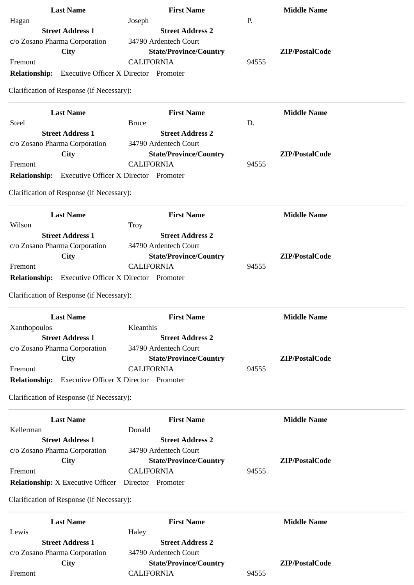| <b>Last Name</b>                                           | <b>First Name</b>                            | <b>Middle Name</b> |
|------------------------------------------------------------|----------------------------------------------|--------------------|
| Hagan                                                      | Joseph                                       | P.                 |
| <b>Street Address 1</b>                                    | <b>Street Address 2</b>                      |                    |
| c/o Zosano Pharma Corporation                              | 34790 Ardentech Court                        |                    |
| City                                                       | <b>State/Province/Country</b>                | ZIP/PostalCode     |
| Fremont                                                    | <b>CALIFORNIA</b>                            | 94555              |
| <b>Relationship:</b> Executive Officer X Director Promoter |                                              |                    |
| Clarification of Response (if Necessary):                  |                                              |                    |
| <b>Last Name</b>                                           | <b>First Name</b>                            | <b>Middle Name</b> |
| <b>Steel</b>                                               | <b>Bruce</b>                                 | D.                 |
| <b>Street Address 1</b>                                    | <b>Street Address 2</b>                      |                    |
| c/o Zosano Pharma Corporation                              | 34790 Ardentech Court                        |                    |
| City                                                       | <b>State/Province/Country</b>                | ZIP/PostalCode     |
| Fremont                                                    | <b>CALIFORNIA</b>                            | 94555              |
| <b>Relationship:</b> Executive Officer X Director Promoter |                                              |                    |
|                                                            |                                              |                    |
| Clarification of Response (if Necessary):                  |                                              |                    |
| <b>Last Name</b>                                           | <b>First Name</b>                            | <b>Middle Name</b> |
| Wilson                                                     | <b>Troy</b>                                  |                    |
| <b>Street Address 1</b>                                    | <b>Street Address 2</b>                      |                    |
| c/o Zosano Pharma Corporation                              | 34790 Ardentech Court                        |                    |
| City                                                       | <b>State/Province/Country</b>                | ZIP/PostalCode     |
| Fremont                                                    | <b>CALIFORNIA</b>                            | 94555              |
| <b>Relationship:</b> Executive Officer X Director Promoter |                                              |                    |
| Clarification of Response (if Necessary):                  |                                              |                    |
| <b>Last Name</b>                                           | <b>First Name</b>                            | <b>Middle Name</b> |
| Xanthopoulos                                               | Kleanthis                                    |                    |
| <b>Street Address 1</b>                                    | <b>Street Address 2</b>                      |                    |
| c/o Zosano Pharma Corporation                              | 34790 Ardentech Court                        |                    |
| City                                                       | <b>State/Province/Country</b>                | ZIP/PostalCode     |
| Fremont                                                    | <b>CALIFORNIA</b>                            | 94555              |
| <b>Relationship:</b>                                       | <b>Executive Officer X Director Promoter</b> |                    |
| Clarification of Response (if Necessary):                  |                                              |                    |
| <b>Last Name</b>                                           | <b>First Name</b>                            | <b>Middle Name</b> |
| Kellerman                                                  | Donald                                       |                    |
| <b>Street Address 1</b>                                    | <b>Street Address 2</b>                      |                    |
| c/o Zosano Pharma Corporation                              | 34790 Ardentech Court                        |                    |
| City                                                       | <b>State/Province/Country</b>                | ZIP/PostalCode     |
| Fremont                                                    | <b>CALIFORNIA</b>                            | 94555              |
| <b>Relationship:</b> X Executive Officer                   | Director Promoter                            |                    |
|                                                            |                                              |                    |
| Clarification of Response (if Necessary):                  |                                              |                    |
| <b>Last Name</b>                                           | <b>First Name</b>                            | <b>Middle Name</b> |
| Lewis                                                      | Haley                                        |                    |
| <b>Street Address 1</b>                                    | <b>Street Address 2</b>                      |                    |
| c/o Zosano Pharma Corporation                              | 34790 Ardentech Court                        |                    |
| City                                                       | <b>State/Province/Country</b>                | ZIP/PostalCode     |
| Fremont                                                    | <b>CALIFORNIA</b>                            | 94555              |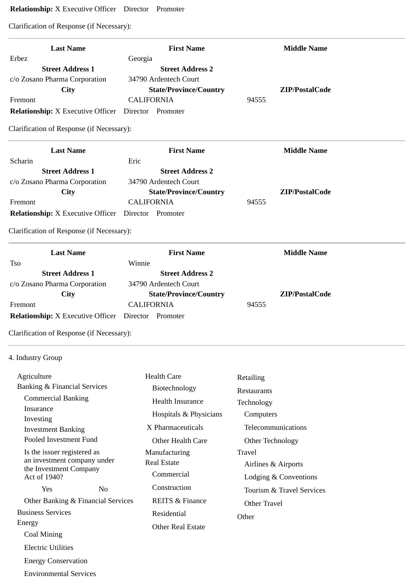# **Relationship:** X Executive Officer Director Promoter

Clarification of Response (if Necessary):

| <b>Last Name</b>                                           | <b>First Name</b>             | <b>Middle Name</b> |
|------------------------------------------------------------|-------------------------------|--------------------|
| Erbez                                                      | Georgia                       |                    |
| <b>Street Address 1</b>                                    | <b>Street Address 2</b>       |                    |
| c/o Zosano Pharma Corporation                              | 34790 Ardentech Court         |                    |
| <b>City</b>                                                | <b>State/Province/Country</b> | ZIP/PostalCode     |
| Fremont                                                    | <b>CALIFORNIA</b>             | 94555              |
| <b>Relationship:</b> X Executive Officer Director Promoter |                               |                    |
| Clarification of Response (if Necessary):                  |                               |                    |
| <b>Last Name</b>                                           | <b>First Name</b>             | <b>Middle Name</b> |
| Scharin                                                    | Eric                          |                    |
| <b>Street Address 1</b>                                    | <b>Street Address 2</b>       |                    |
| c/o Zosano Pharma Corporation                              | 34790 Ardentech Court         |                    |
| City                                                       | <b>State/Province/Country</b> | ZIP/PostalCode     |
| Fremont                                                    | <b>CALIFORNIA</b>             | 94555              |
| <b>Relationship:</b> X Executive Officer Director Promoter |                               |                    |
| Clarification of Response (if Necessary):                  |                               |                    |
| <b>Last Name</b>                                           | <b>First Name</b>             | <b>Middle Name</b> |
| Tso                                                        | Winnie                        |                    |
| <b>Street Address 1</b>                                    | <b>Street Address 2</b>       |                    |
| c/o Zosano Pharma Corporation                              | 34790 Ardentech Court         |                    |
| <b>City</b>                                                | <b>State/Province/Country</b> | ZIP/PostalCode     |
| Fremont                                                    | <b>CALIFORNIA</b>             | 94555              |
| <b>Relationship:</b> X Executive Officer Director Promoter |                               |                    |
| Clarification of Response (if Necessary):                  |                               |                    |

# 4. Industry Group

| Agriculture                             |     | <b>Health Care</b>         | Retailing                 |
|-----------------------------------------|-----|----------------------------|---------------------------|
| <b>Banking &amp; Financial Services</b> |     | Biotechnology              | Restaurants               |
| <b>Commercial Banking</b>               |     | Health Insurance           | Technology                |
| Insurance                               |     | Hospitals & Physicians     | Computers                 |
| Investing                               |     | X Pharmaceuticals          | Telecommunications        |
| <b>Investment Banking</b>               |     |                            |                           |
| Pooled Investment Fund                  |     | Other Health Care          | Other Technology          |
| Is the issuer registered as             |     | Manufacturing              | Travel                    |
| an investment company under             |     | <b>Real Estate</b>         | Airlines & Airports       |
| the Investment Company<br>Act of 1940?  |     | Commercial                 | Lodging & Conventions     |
| Yes                                     | No. | Construction               | Tourism & Travel Services |
| Other Banking & Financial Services      |     | <b>REITS &amp; Finance</b> | Other Travel              |
| <b>Business Services</b>                |     | Residential                | Other                     |
| Energy                                  |     | <b>Other Real Estate</b>   |                           |
| Coal Mining                             |     |                            |                           |
| <b>Electric Utilities</b>               |     |                            |                           |
| <b>Energy Conservation</b>              |     |                            |                           |

Environmental Services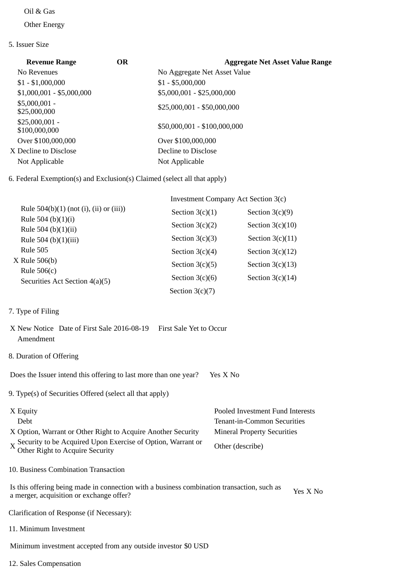### Oil & Gas

Other Energy

### 5. Issuer Size

| <b>Revenue Range</b>             | <b>OR</b> | <b>Aggregate Net Asset Value Range</b> |
|----------------------------------|-----------|----------------------------------------|
| No Revenues                      |           | No Aggregate Net Asset Value           |
| $$1 - $1,000,000$                |           | $$1 - $5,000,000$                      |
| $$1,000,001 - $5,000,000$        |           | \$5,000,001 - \$25,000,000             |
| $$5,000,001 -$<br>\$25,000,000   |           | \$25,000,001 - \$50,000,000            |
| $$25,000,001 -$<br>\$100,000,000 |           | \$50,000,001 - \$100,000,000           |
| Over \$100,000,000               |           | Over \$100,000,000                     |
| X Decline to Disclose            |           | Decline to Disclose                    |
| Not Applicable                   |           | Not Applicable                         |

6. Federal Exemption(s) and Exclusion(s) Claimed (select all that apply)

|                                                 | Investment Company Act Section 3(c) |                    |
|-------------------------------------------------|-------------------------------------|--------------------|
| Rule $504(b)(1)$ (not (i), (ii) or (iii))       | Section $3(c)(1)$                   | Section $3(c)(9)$  |
| Rule 504 (b) $(1)(i)$<br>Rule 504 (b) $(1)(ii)$ | Section $3(c)(2)$                   | Section $3(c)(10)$ |
| Rule 504 (b) $(1)(iii)$                         | Section $3(c)(3)$                   | Section $3(c)(11)$ |
| Rule 505                                        | Section $3(c)(4)$                   | Section $3(c)(12)$ |
| $X$ Rule 506(b)<br>Rule 506(c)                  | Section $3(c)(5)$                   | Section $3(c)(13)$ |
| Securities Act Section 4(a)(5)                  | Section $3(c)(6)$                   | Section $3(c)(14)$ |
|                                                 | Section $3(c)(7)$                   |                    |

## 7. Type of Filing

|           | X New Notice Date of First Sale 2016-08-19 First Sale Yet to Occur |  |
|-----------|--------------------------------------------------------------------|--|
| Amendment |                                                                    |  |

8. Duration of Offering

Does the Issuer intend this offering to last more than one year? Yes X No

9. Type(s) of Securities Offered (select all that apply)

| X Equity                                                                                      | Pooled Investment Fund Interests   |
|-----------------------------------------------------------------------------------------------|------------------------------------|
| Debt                                                                                          | Tenant-in-Common Securities        |
| X Option, Warrant or Other Right to Acquire Another Security                                  | <b>Mineral Property Securities</b> |
| X Security to be Acquired Upon Exercise of Option, Warrant or Other Right to Acquire Security | Other (describe)                   |

10. Business Combination Transaction

Is this offering being made in connection with a business combination transaction, such as is this offering being made in connection with a business combination transaction, such as  $Y$ es X No a merger, acquisition or exchange offer?

Clarification of Response (if Necessary):

11. Minimum Investment

Minimum investment accepted from any outside investor \$0 USD

12. Sales Compensation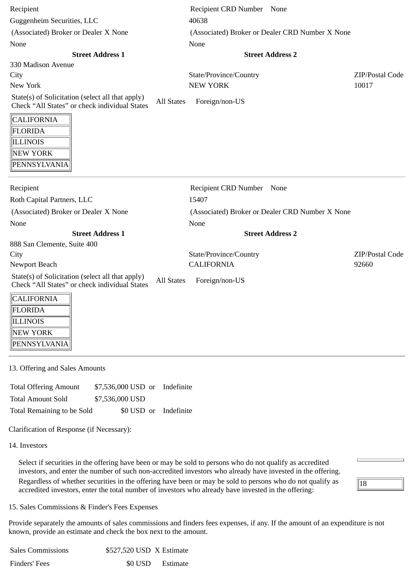| Recipient                                                                                                              | Recipient CRD Number None                       |                 |
|------------------------------------------------------------------------------------------------------------------------|-------------------------------------------------|-----------------|
| Guggenheim Securities, LLC                                                                                             | 40638                                           |                 |
| (Associated) Broker or Dealer X None                                                                                   | (Associated) Broker or Dealer CRD Number X None |                 |
| None                                                                                                                   | None                                            |                 |
| <b>Street Address 1</b>                                                                                                | <b>Street Address 2</b>                         |                 |
| 330 Madison Avenue                                                                                                     |                                                 |                 |
| City                                                                                                                   | State/Province/Country                          | ZIP/Postal Code |
| New York                                                                                                               | <b>NEW YORK</b>                                 | 10017           |
| State(s) of Solicitation (select all that apply)<br><b>All States</b><br>Check "All States" or check individual States | Foreign/non-US                                  |                 |
| <b>CALIFORNIA</b>                                                                                                      |                                                 |                 |
| FLORIDA                                                                                                                |                                                 |                 |
| <b>ILLINOIS</b>                                                                                                        |                                                 |                 |
| NEW YORK                                                                                                               |                                                 |                 |
| PENNSYLVANIA                                                                                                           |                                                 |                 |
|                                                                                                                        |                                                 |                 |
| Recipient                                                                                                              | Recipient CRD Number None                       |                 |
| Roth Capital Partners, LLC                                                                                             | 15407                                           |                 |
| (Associated) Broker or Dealer X None                                                                                   | (Associated) Broker or Dealer CRD Number X None |                 |
| None                                                                                                                   | None                                            |                 |
| <b>Street Address 1</b>                                                                                                | <b>Street Address 2</b>                         |                 |
| 888 San Clemente, Suite 400                                                                                            |                                                 |                 |
| City                                                                                                                   | State/Province/Country                          | ZIP/Postal Code |
| Newport Beach                                                                                                          | <b>CALIFORNIA</b>                               | 92660           |
| State(s) of Solicitation (select all that apply)<br><b>All States</b><br>Check "All States" or check individual States | Foreign/non-US                                  |                 |
| <b>CALIFORNIA</b>                                                                                                      |                                                 |                 |
| FLORIDA                                                                                                                |                                                 |                 |
| <b>ILLINOIS</b>                                                                                                        |                                                 |                 |
| NEW YORK                                                                                                               |                                                 |                 |
| PENNSYLVANIA                                                                                                           |                                                 |                 |

#### 13. Offering and Sales Amounts

| <b>Total Offering Amount</b> | \$7,536,000 USD or Indefinite |  |
|------------------------------|-------------------------------|--|
| <b>Total Amount Sold</b>     | \$7,536,000 USD               |  |
| Total Remaining to be Sold   | \$0 USD or Indefinite         |  |

Clarification of Response (if Necessary):

14. Investors

Select if securities in the offering have been or may be sold to persons who do not qualify as accredited investors, and enter the number of such non-accredited investors who already have invested in the offering. Regardless of whether securities in the offering have been or may be sold to persons who do not qualify as accredited investors, enter the total number of investors who already have invested in the offering:



15. Sales Commissions & Finder's Fees Expenses

Provide separately the amounts of sales commissions and finders fees expenses, if any. If the amount of an expenditure is not known, provide an estimate and check the box next to the amount.

| <b>Sales Commissions</b> | \$527,520 USD X Estimate |                  |
|--------------------------|--------------------------|------------------|
| Finders' Fees            |                          | \$0 USD Estimate |